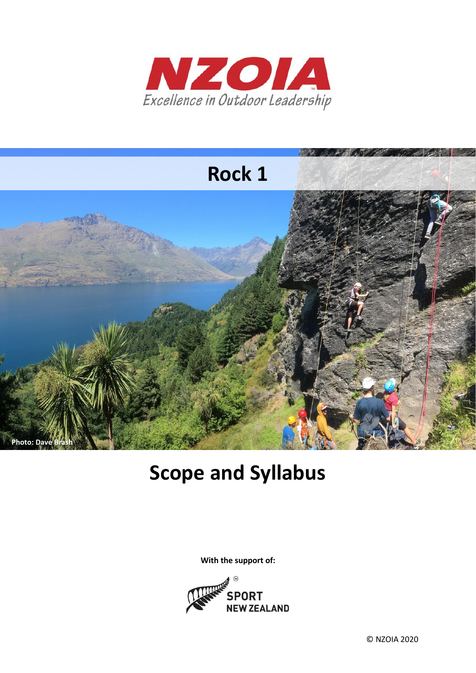



# **Scope and Syllabus**

**With the support of:**



© NZOIA 2020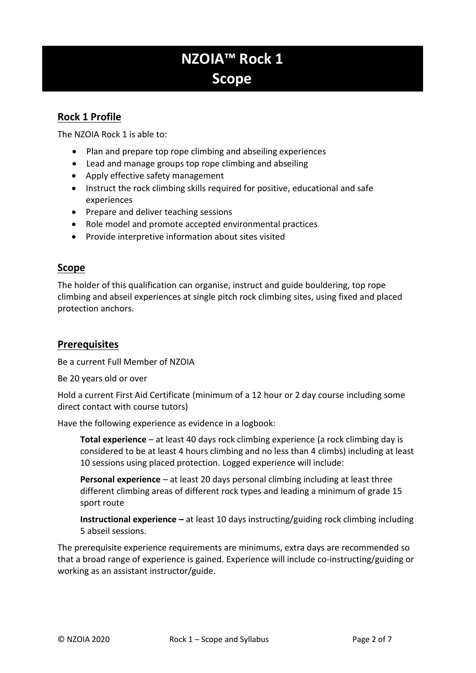## **NZOIA™ Rock 1 Scope**

#### **Rock 1 Profile**

The NZOIA Rock 1 is able to:

- Plan and prepare top rope climbing and abseiling experiences
- Lead and manage groups top rope climbing and abseiling
- Apply effective safety management
- Instruct the rock climbing skills required for positive, educational and safe experiences
- Prepare and deliver teaching sessions
- Role model and promote accepted environmental practices
- Provide interpretive information about sites visited

#### **Scope**

The holder of this qualification can organise, instruct and guide bouldering, top rope climbing and abseil experiences at single pitch rock climbing sites, using fixed and placed protection anchors.

#### **Prerequisites**

Be a current Full Member of NZOIA

Be 20 years old or over

Hold a current First Aid Certificate (minimum of a 12 hour or 2 day course including some direct contact with course tutors)

Have the following experience as evidence in a logbook:

**Total experience** – at least 40 days rock climbing experience (a rock climbing day is considered to be at least 4 hours climbing and no less than 4 climbs) including at least 10 sessions using placed protection. Logged experience will include:

**Personal experience** – at least 20 days personal climbing including at least three different climbing areas of different rock types and leading a minimum of grade 15 sport route

**Instructional experience –** at least 10 days instructing/guiding rock climbing including 5 abseil sessions.

The prerequisite experience requirements are minimums, extra days are recommended so that a broad range of experience is gained. Experience will include co-instructing/guiding or working as an assistant instructor/guide.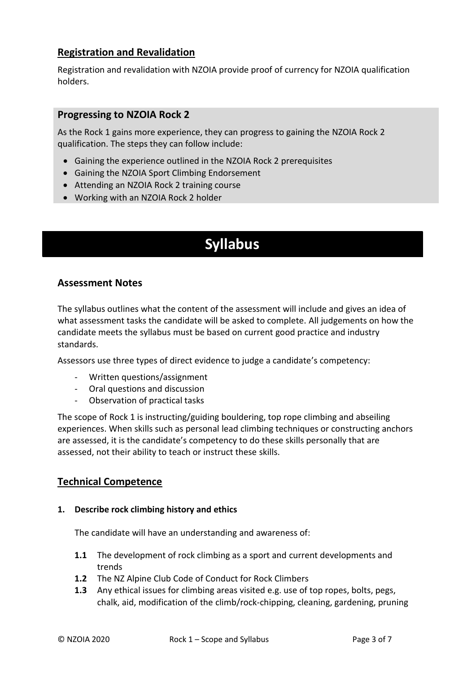#### **Registration and Revalidation**

Registration and revalidation with NZOIA provide proof of currency for NZOIA qualification holders.

#### **Progressing to NZOIA Rock 2**

As the Rock 1 gains more experience, they can progress to gaining the NZOIA Rock 2 qualification. The steps they can follow include:

- Gaining the experience outlined in the NZOIA Rock 2 prerequisites
- Gaining the NZOIA Sport Climbing Endorsement
- Attending an NZOIA Rock 2 training course
- Working with an NZOIA Rock 2 holder

### **Syllabus**

#### **Assessment Notes**

The syllabus outlines what the content of the assessment will include and gives an idea of what assessment tasks the candidate will be asked to complete. All judgements on how the candidate meets the syllabus must be based on current good practice and industry standards.

Assessors use three types of direct evidence to judge a candidate's competency:

- Written questions/assignment
- Oral questions and discussion
- Observation of practical tasks

The scope of Rock 1 is instructing/guiding bouldering, top rope climbing and abseiling experiences. When skills such as personal lead climbing techniques or constructing anchors are assessed, it is the candidate's competency to do these skills personally that are assessed, not their ability to teach or instruct these skills.

#### **Technical Competence**

#### **1. Describe rock climbing history and ethics**

The candidate will have an understanding and awareness of:

- **1.1** The development of rock climbing as a sport and current developments and trends
- **1.2** The NZ Alpine Club Code of Conduct for Rock Climbers
- **1.3** Any ethical issues for climbing areas visited e.g. use of top ropes, bolts, pegs, chalk, aid, modification of the climb/rock-chipping, cleaning, gardening, pruning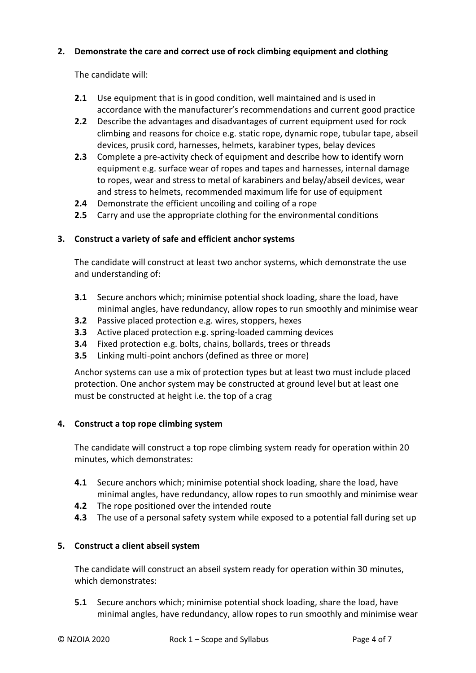#### **2. Demonstrate the care and correct use of rock climbing equipment and clothing**

The candidate will:

- **2.1** Use equipment that is in good condition, well maintained and is used in accordance with the manufacturer's recommendations and current good practice
- **2.2** Describe the advantages and disadvantages of current equipment used for rock climbing and reasons for choice e.g. static rope, dynamic rope, tubular tape, abseil devices, prusik cord, harnesses, helmets, karabiner types, belay devices
- **2.3** Complete a pre-activity check of equipment and describe how to identify worn equipment e.g. surface wear of ropes and tapes and harnesses, internal damage to ropes, wear and stress to metal of karabiners and belay/abseil devices, wear and stress to helmets, recommended maximum life for use of equipment
- **2.4** Demonstrate the efficient uncoiling and coiling of a rope
- **2.5** Carry and use the appropriate clothing for the environmental conditions

#### **3. Construct a variety of safe and efficient anchor systems**

The candidate will construct at least two anchor systems, which demonstrate the use and understanding of:

- **3.1** Secure anchors which; minimise potential shock loading, share the load, have minimal angles, have redundancy, allow ropes to run smoothly and minimise wear
- **3.2** Passive placed protection e.g. wires, stoppers, hexes
- **3.3** Active placed protection e.g. spring-loaded camming devices
- **3.4** Fixed protection e.g. bolts, chains, bollards, trees or threads
- **3.5** Linking multi-point anchors (defined as three or more)

Anchor systems can use a mix of protection types but at least two must include placed protection. One anchor system may be constructed at ground level but at least one must be constructed at height i.e. the top of a crag

#### **4. Construct a top rope climbing system**

The candidate will construct a top rope climbing system ready for operation within 20 minutes, which demonstrates:

- **4.1** Secure anchors which; minimise potential shock loading, share the load, have minimal angles, have redundancy, allow ropes to run smoothly and minimise wear
- **4.2** The rope positioned over the intended route
- **4.3** The use of a personal safety system while exposed to a potential fall during set up

#### **5. Construct a client abseil system**

The candidate will construct an abseil system ready for operation within 30 minutes, which demonstrates:

**5.1** Secure anchors which; minimise potential shock loading, share the load, have minimal angles, have redundancy, allow ropes to run smoothly and minimise wear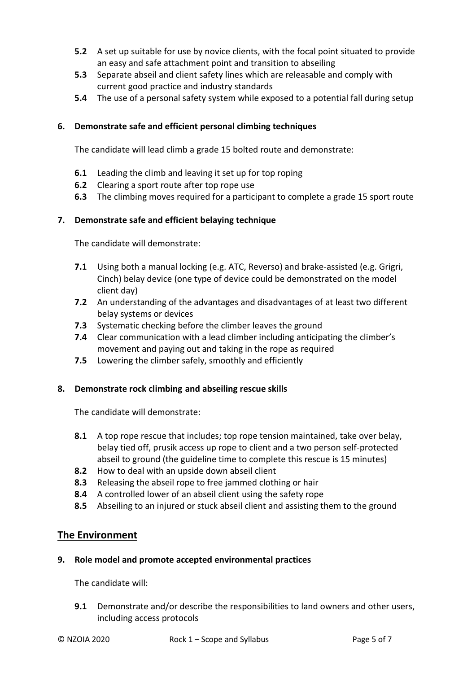- **5.2** A set up suitable for use by novice clients, with the focal point situated to provide an easy and safe attachment point and transition to abseiling
- **5.3** Separate abseil and client safety lines which are releasable and comply with current good practice and industry standards
- **5.4** The use of a personal safety system while exposed to a potential fall during setup

#### **6. Demonstrate safe and efficient personal climbing techniques**

The candidate will lead climb a grade 15 bolted route and demonstrate:

- **6.1** Leading the climb and leaving it set up for top roping
- **6.2** Clearing a sport route after top rope use
- **6.3** The climbing moves required for a participant to complete a grade 15 sport route

#### **7. Demonstrate safe and efficient belaying technique**

The candidate will demonstrate:

- **7.1** Using both a manual locking (e.g. ATC, Reverso) and brake-assisted (e.g. Grigri, Cinch) belay device (one type of device could be demonstrated on the model client day)
- **7.2** An understanding of the advantages and disadvantages of at least two different belay systems or devices
- **7.3** Systematic checking before the climber leaves the ground
- **7.4** Clear communication with a lead climber including anticipating the climber's movement and paying out and taking in the rope as required
- **7.5** Lowering the climber safely, smoothly and efficiently

#### **8. Demonstrate rock climbing and abseiling rescue skills**

The candidate will demonstrate:

- **8.1** A top rope rescue that includes; top rope tension maintained, take over belay, belay tied off, prusik access up rope to client and a two person self-protected abseil to ground (the guideline time to complete this rescue is 15 minutes)
- **8.2** How to deal with an upside down abseil client
- **8.3** Releasing the abseil rope to free jammed clothing or hair
- **8.4** A controlled lower of an abseil client using the safety rope
- **8.5** Abseiling to an injured or stuck abseil client and assisting them to the ground

#### **The Environment**

#### **9. Role model and promote accepted environmental practices**

The candidate will:

**9.1** Demonstrate and/or describe the responsibilities to land owners and other users, including access protocols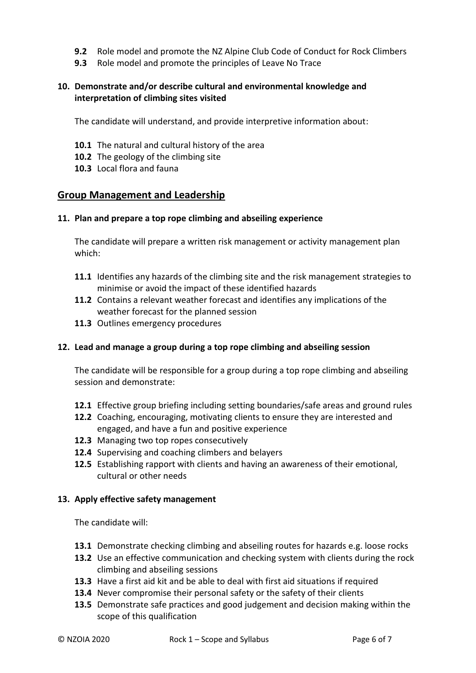- **9.2** Role model and promote the NZ Alpine Club Code of Conduct for Rock Climbers
- **9.3** Role model and promote the principles of Leave No Trace

#### **10. Demonstrate and/or describe cultural and environmental knowledge and interpretation of climbing sites visited**

The candidate will understand, and provide interpretive information about:

- **10.1** The natural and cultural history of the area
- **10.2** The geology of the climbing site
- **10.3** Local flora and fauna

#### **Group Management and Leadership**

#### **11. Plan and prepare a top rope climbing and abseiling experience**

The candidate will prepare a written risk management or activity management plan which:

- **11.1** Identifies any hazards of the climbing site and the risk management strategies to minimise or avoid the impact of these identified hazards
- **11.2** Contains a relevant weather forecast and identifies any implications of the weather forecast for the planned session
- **11.3** Outlines emergency procedures

#### **12. Lead and manage a group during a top rope climbing and abseiling session**

The candidate will be responsible for a group during a top rope climbing and abseiling session and demonstrate:

- **12.1** Effective group briefing including setting boundaries/safe areas and ground rules
- **12.2** Coaching, encouraging, motivating clients to ensure they are interested and engaged, and have a fun and positive experience
- **12.3** Managing two top ropes consecutively
- **12.4** Supervising and coaching climbers and belayers
- **12.5** Establishing rapport with clients and having an awareness of their emotional, cultural or other needs

#### **13. Apply effective safety management**

The candidate will:

- **13.1** Demonstrate checking climbing and abseiling routes for hazards e.g. loose rocks
- **13.2** Use an effective communication and checking system with clients during the rock climbing and abseiling sessions
- **13.3** Have a first aid kit and be able to deal with first aid situations if required
- **13.4** Never compromise their personal safety or the safety of their clients
- **13.5** Demonstrate safe practices and good judgement and decision making within the scope of this qualification